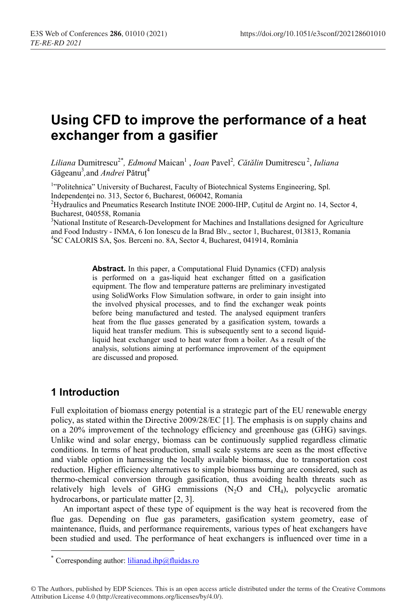# Using CFD to improve the performance of a heat exchanger from a gasifier

Liliana Dumitrescu<sup>2\*</sup>, Edmond Maican<sup>1</sup>, Ioan Pavel<sup>2</sup>, Cătălin Dumitrescu<sup>2</sup>, Iuliana Găgeanu<sup>3</sup>,and *Andrei* Pătruț<sup>4</sup>

<sup>1</sup>"Politehnica" University of Bucharest, Faculty of Biotechnical Systems Engineering, Spl. Independenţei no. 313, Sector 6, Bucharest, 060042, Romania

<sup>2</sup>Hydraulics and Pneumatics Research Institute INOE 2000-IHP, Cuțitul de Argint no. 14, Sector 4, Bucharest, 040558, Romania

<sup>3</sup>National Institute of Research-Development for Machines and Installations designed for Agriculture and Food Industry - INMA, 6 Ion Ionescu de la Brad Blv., sector 1, Bucharest, 013813, Romania 4 SC CALORIS SA, Șos. Berceni no. 8A, Sector 4, Bucharest, 041914, România

> Abstract. In this paper, a Computational Fluid Dynamics (CFD) analysis is performed on a gas-liquid heat exchanger fitted on a gasification equipment. The flow and temperature patterns are preliminary investigated using SolidWorks Flow Simulation software, in order to gain insight into the involved physical processes, and to find the exchanger weak points before being manufactured and tested. The analysed equipment tranfers heat from the flue gasses generated by a gasification system, towards a liquid heat transfer medium. This is subsequently sent to a second liquidliquid heat exchanger used to heat water from a boiler. As a result of the analysis, solutions aiming at performance improvement of the equipment are discussed and proposed.

#### 1 Introduction

 $\overline{a}$ 

Full exploitation of biomass energy potential is a strategic part of the EU renewable energy policy, as stated within the Directive 2009/28/EC [1]. The emphasis is on supply chains and on a 20% improvement of the technology efficiency and greenhouse gas (GHG) savings. Unlike wind and solar energy, biomass can be continuously supplied regardless climatic conditions. In terms of heat production, small scale systems are seen as the most effective and viable option in harnessing the locally available biomass, due to transportation cost reduction. Higher efficiency alternatives to simple biomass burning are considered, such as thermo-chemical conversion through gasification, thus avoiding health threats such as relatively high levels of GHG emmissions  $(N_2O)$  and  $CH_4$ ), polycyclic aromatic hydrocarbons, or particulate matter [2, 3].

An important aspect of these type of equipment is the way heat is recovered from the flue gas. Depending on flue gas parameters, gasification system geometry, ease of maintenance, fluids, and performance requirements, various types of heat exchangers have been studied and used. The performance of heat exchangers is influenced over time in a

<sup>\*</sup> Corresponding author:  $\frac{1 \times 1}{2 \times 1}$  Corresponding author:  $\frac{1}{1}$ 

<sup>©</sup> The Authors, published by EDP Sciences. This is an open access article distributed under the terms of the Creative Commons Attribution License 4.0 (http://creativecommons.org/licenses/by/4.0/).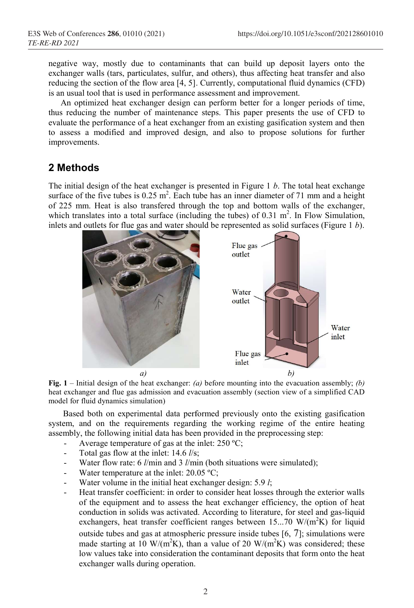negative way, mostly due to contaminants that can build up deposit layers onto the negative way, mostly due to contaminants that can build up deposit layers onto the exchanger walls (tars, particulates, sulfur, and others), thus affecting heat transfer and also reducing the section of the flow area [4, 5]. Currently, computational fluid dynamics (CFD) is an usual tool that is used in performance assessment and improvement. reducing the section of the flow area [4, 5]. Currently, computational fluid dynamics (CFD) is an usual tool that is used in performance assessment and improvement.<br>An optimized heat exchanger design can perform better for

thus reducing the number of maintenance steps. This paper presents the use of CFD to evaluate the performance of a heat exchanger from an existing gasification system and then to assess a modified and improved design, and also to propose solutions for improvements. thus reducing the number of maintenance steps. This paper presents the use of CFD to evaluate the performance of a heat exchanger from an existing gasification system and then to assess a modified and improved design, and

#### 2 Methods

The initial design of the heat exchanger is presented in Figure 1  $b$ . The total heat exchange surface of the five tubes is  $0.25 \text{ m}^2$ . Each tube has an inner diameter of 71 mm and a height of 225 mm. Heat is also transfered through the top and bottom walls of the exchanger, which translates into a total surface (including the tubes) of 0.31  $m<sup>2</sup>$ . In Flow Simulation, inlets and outlets for flue gas and water should be represented as solid surfaces (Figure  $1 b$ ). surface of the five tubes is  $0.25 \text{ m}^2$ . Each tube has an inner diameter of 71 mm and a height of 225 mm. Heat is also transfered through the top and bottom walls of the exchanger, which translates into a total surface



Fig. 1 – Initial design of the heat exchanger: (a) before mounting into the evacuation assembly; (b) heat exchanger and flue gas admission and evacuation assembly (section view of a simplified CAD model for fluid dynamics simulation) heat exchanger and flue gas admission and evacuation assembly (section view of a simplified CAD model for fluid dynamics simulation)<br>Based both on experimental data performed previously onto the existing gasification

system, and on the requirements regarding the working regime of the entire heating assembly, the following initial data has been provided in the preprocessing step: system, and on the requirements regarding the working regime of the entire heating assembly, the following initial data has been provided in the preprocessing step:<br>- Average temperature of gas at the inlet:  $250 \degree C$ ;

- Average temperature of gas at the inlet:  $250 \text{ °C}$ ;
- Total gas flow at the inlet:  $14.6$  *l/s*;
- Water flow rate: 6  $l/min$  and 3  $l/min$  (both situations were simulated); - Water flow rate: 6  $l/min$  and 3  $l/min$  (botl<br>- Water temperature at the inlet: 20.05 °C;
- 
- Water volume in the initial heat exchanger design: 5.9 l;
- Heat transfer coefficient: in order to consider heat losses through the exterior walls of the equipment and to assess the heat exchanger efficiency, the option of heat of the equipment and to assess the heat exchanger efficiency, the option of heat conduction in solids was activated. According to literature, for steel and gas-liquid exchangers, heat transfer coefficient ranges between  $15...70$  W/(m<sup>2</sup>K) for liquid outside tubes and gas at atmospheric pressure inside tubes  $[6, 7]$ ; simulations were made starting at 10 W/(m<sup>2</sup>K), than a value of 20 W/(m<sup>2</sup>K) was considered; these low values take into consideration the contaminant deposits that form onto the heat exchanger walls during operation.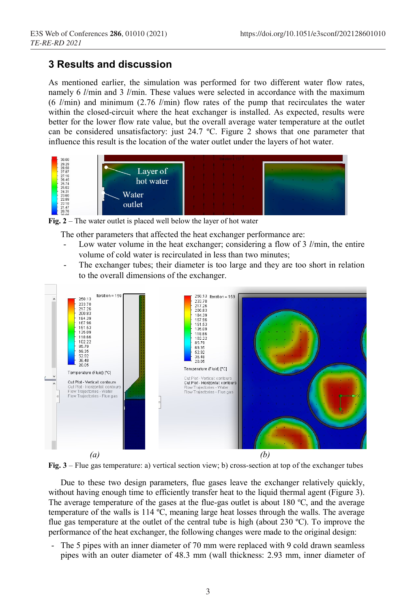### 3 Results and discussion

As mentioned earlier, the simulation was performed for two different water flow rates, namely 6 l/min and 3 l/min. These values were selected in accordance with the maximum (6  $l/min$ ) and minimum (2.76  $l/min$ ) flow rates of the pump that recirculates the water within the closed-circuit where the heat exchanger is installed. As expected, results were better for the lower flow rate value, but the overall average water temperature at the outlet can be considered unsatisfactory: just 24.7 ºC. Figure 2 shows that one parameter that influence this result is the location of the water outlet under the layers of hot water.



Fig.  $2 -$ The water outlet is placed well below the layer of hot water

The other parameters that affected the heat exchanger performance are:

- Low water volume in the heat exchanger; considering a flow of  $3 \frac{1}{\text{min}}$ , the entire volume of cold water is recirculated in less than two minutes;
- The exchanger tubes; their diameter is too large and they are too short in relation to the overall dimensions of the exchanger.





Due to these two design parameters, flue gases leave the exchanger relatively quickly, without having enough time to efficiently transfer heat to the liquid thermal agent (Figure 3). The average temperature of the gases at the flue-gas outlet is about 180 °C, and the average temperature of the walls is 114 ºC, meaning large heat losses through the walls. The average flue gas temperature at the outlet of the central tube is high (about  $230^{\circ}$ C). To improve the performance of the heat exchanger, the following changes were made to the original design:

- The 5 pipes with an inner diameter of 70 mm were replaced with 9 cold drawn seamless pipes with an outer diameter of 48.3 mm (wall thickness: 2.93 mm, inner diameter of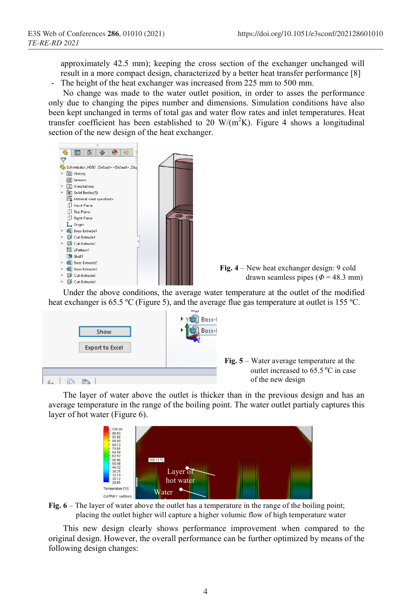approximately 42.5 mm); keeping the cross section of the exchanger unchanged will result in a more compact design, characterized by a better heat transfer performance [8] - The height of the heat exchanger was increased from 225 mm to 500 mm.

No change was made to the water outlet position, in order to asses the performance only due to changing the pipes number and dimensions. Simulation conditions have also been kept unchanged in terms of total gas and water flow rates and inlet temperatures. Heat transfer coefficient has been established to 20  $W/(m^2K)$ . Figure 4 shows a longitudinal





 Under the above conditions, the average water temperature at the outlet of the modified heat exchanger is 65.5 °C (Figure 5), and the average flue gas temperature at outlet is 155 °C.





 The layer of water above the outlet is thicker than in the previous design and has an average temperature in the range of the boiling point. The water outlet partialy captures this layer of hot water (Figure 6).



Fig. 6 – The layer of water above the outlet has a temperature in the range of the boiling point; placing the outlet higher will capture a higher volumic flow of high temperature water

 This new design clearly shows performance improvement when compared to the original design. However, the overall performance can be further optimized by means of the following design changes: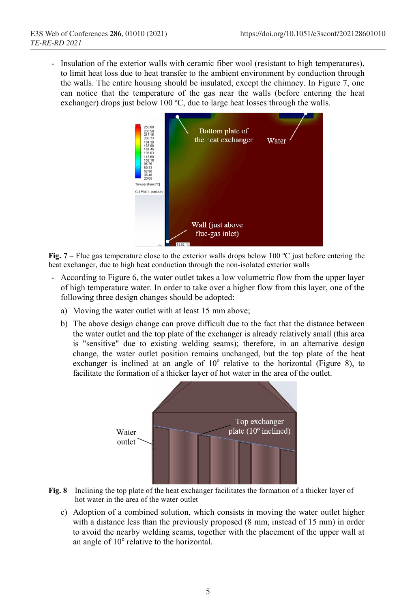- Insulation of the exterior walls with ceramic fiber wool (resistant to high temperatures), to limit heat loss due to heat transfer to the ambient environment by conduction through the walls. The entire housing should be insulated, except the chimney. In Figure 7, one can notice that the temperature of the gas near the walls (before entering the heat exchanger) drops just below 100 °C, due to large heat losses through the walls.



Fig. 7 – Flue gas temperature close to the exterior walls drops below 100  $^{\circ}$ C just before entering the heat exchanger, due to high heat conduction through the non-isolated exterior walls

- According to Figure 6, the water outlet takes a low volumetric flow from the upper layer of high temperature water. In order to take over a higher flow from this layer, one of the following three design changes should be adopted:
	- a) Moving the water outlet with at least 15 mm above;
	- b) The above design change can prove difficult due to the fact that the distance between the water outlet and the top plate of the exchanger is already relatively small (this area is "sensitive" due to existing welding seams); therefore, in an alternative design change, the water outlet position remains unchanged, but the top plate of the heat exchanger is inclined at an angle of  $10^{\circ}$  relative to the horizontal (Figure 8), to facilitate the formation of a thicker layer of hot water in the area of the outlet.



- Fig. 8 Inclining the top plate of the heat exchanger facilitates the formation of a thicker layer of hot water in the area of the water outlet
	- c) Adoption of a combined solution, which consists in moving the water outlet higher with a distance less than the previously proposed (8 mm, instead of 15 mm) in order to avoid the nearby welding seams, together with the placement of the upper wall at an angle of 10° relative to the horizontal.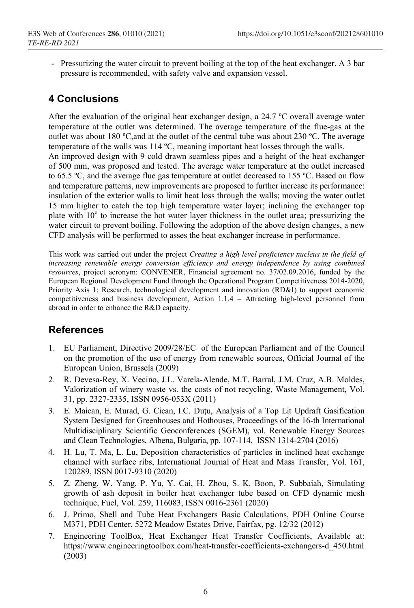- Pressurizing the water circuit to prevent boiling at the top of the heat exchanger. A 3 bar pressure is recommended, with safety valve and expansion vessel.

## 4 Conclusions

After the evaluation of the original heat exchanger design, a 24.7 ºC overall average water temperature at the outlet was determined. The average temperature of the flue-gas at the outlet was about 180 ºC,and at the outlet of the central tube was about 230 ºC. The average temperature of the walls was 114 ºC, meaning important heat losses through the walls. An improved design with 9 cold drawn seamless pipes and a height of the heat exchanger of 500 mm, was proposed and tested. The average water temperature at the outlet increased to 65.5 ºC, and the average flue gas temperature at outlet decreased to 155 ºC. Based on flow and temperature patterns, new improvements are proposed to further increase its performance: insulation of the exterior walls to limit heat loss through the walls; moving the water outlet 15 mm higher to catch the top high temperature water layer; inclining the exchanger top plate with 10° to increase the hot water layer thickness in the outlet area; pressurizing the water circuit to prevent boiling. Following the adoption of the above design changes, a new CFD analysis will be performed to asses the heat exchanger increase in performance.

This work was carried out under the project Creating a high level proficiency nucleus in the field of increasing renewable energy conversion efficiency and energy independence by using combined resources, project acronym: CONVENER, Financial agreement no. 37/02.09.2016, funded by the European Regional Development Fund through the Operational Program Competitiveness 2014-2020, Priority Axis 1: Research, technological development and innovation (RD&I) to support economic competitiveness and business development, Action 1.1.4 – Attracting high-level personnel from abroad in order to enhance the R&D capacity.

## **References**

- 1. EU Parliament, Directive 2009/28/EC of the European Parliament and of the Council on the promotion of the use of energy from renewable sources, Official Journal of the European Union, Brussels (2009)
- 2. R. Devesa-Rey, X. Vecino, J.L. Varela-Alende, M.T. Barral, J.M. Cruz, A.B. Moldes, Valorization of winery waste vs. the costs of not recycling, Waste Management, Vol. 31, pp. 2327-2335, ISSN 0956-053X (2011)
- 3. E. Maican, E. Murad, G. Cican, I.C. Duţu, Analysis of a Top Lit Updraft Gasification System Designed for Greenhouses and Hothouses, Proceedings of the 16-th International Multidisciplinary Scientific Geoconferences (SGEM), vol. Renewable Energy Sources and Clean Technologies, Albena, Bulgaria, pp. 107-114, ISSN 1314-2704 (2016)
- 4. H. Lu, T. Ma, L. Lu, Deposition characteristics of particles in inclined heat exchange channel with surface ribs, International Journal of Heat and Mass Transfer, Vol. 161, 120289, ISSN 0017-9310 (2020)
- 5. Z. Zheng, W. Yang, P. Yu, Y. Cai, H. Zhou, S. K. Boon, P. Subbaiah, Simulating growth of ash deposit in boiler heat exchanger tube based on CFD dynamic mesh technique, Fuel, Vol. 259, 116083, ISSN 0016-2361 (2020)
- 6. J. Primo, Shell and Tube Heat Exchangers Basic Calculations, PDH Online Course M371, PDH Center, 5272 Meadow Estates Drive, Fairfax, pg. 12/32 (2012)
- 7. Engineering ToolBox, Heat Exchanger Heat Transfer Coefficients, Available at: https://www.engineeringtoolbox.com/heat-transfer-coefficients-exchangers-d\_450.html (2003)